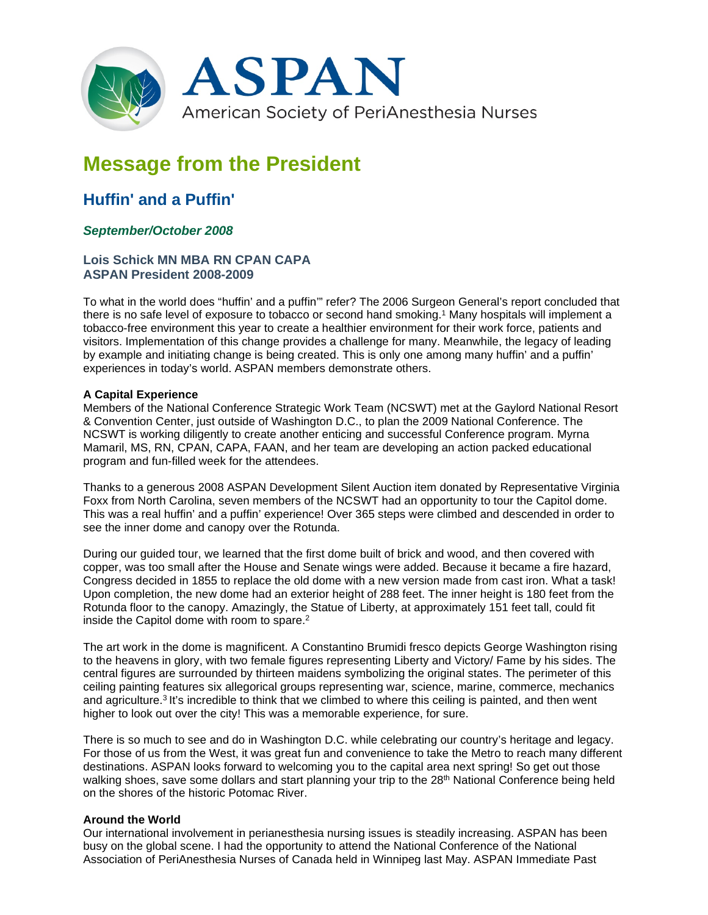

# **Message from the President**

# **Huffin' and a Puffin'**

## *September/October 2008*

### **Lois Schick MN MBA RN CPAN CAPA ASPAN President 2008-2009**

To what in the world does "huffin' and a puffin'" refer? The 2006 Surgeon General's report concluded that there is no safe level of exposure to tobacco or second hand smoking.1 Many hospitals will implement a tobacco-free environment this year to create a healthier environment for their work force, patients and visitors. Implementation of this change provides a challenge for many. Meanwhile, the legacy of leading by example and initiating change is being created. This is only one among many huffin' and a puffin' experiences in today's world. ASPAN members demonstrate others.

#### **A Capital Experience**

Members of the National Conference Strategic Work Team (NCSWT) met at the Gaylord National Resort & Convention Center, just outside of Washington D.C., to plan the 2009 National Conference. The NCSWT is working diligently to create another enticing and successful Conference program. Myrna Mamaril, MS, RN, CPAN, CAPA, FAAN, and her team are developing an action packed educational program and fun-filled week for the attendees.

Thanks to a generous 2008 ASPAN Development Silent Auction item donated by Representative Virginia Foxx from North Carolina, seven members of the NCSWT had an opportunity to tour the Capitol dome. This was a real huffin' and a puffin' experience! Over 365 steps were climbed and descended in order to see the inner dome and canopy over the Rotunda.

During our guided tour, we learned that the first dome built of brick and wood, and then covered with copper, was too small after the House and Senate wings were added. Because it became a fire hazard, Congress decided in 1855 to replace the old dome with a new version made from cast iron. What a task! Upon completion, the new dome had an exterior height of 288 feet. The inner height is 180 feet from the Rotunda floor to the canopy. Amazingly, the Statue of Liberty, at approximately 151 feet tall, could fit inside the Capitol dome with room to spare.2

The art work in the dome is magnificent. A Constantino Brumidi fresco depicts George Washington rising to the heavens in glory, with two female figures representing Liberty and Victory/ Fame by his sides. The central figures are surrounded by thirteen maidens symbolizing the original states. The perimeter of this ceiling painting features six allegorical groups representing war, science, marine, commerce, mechanics and agriculture.3 It's incredible to think that we climbed to where this ceiling is painted, and then went higher to look out over the city! This was a memorable experience, for sure.

There is so much to see and do in Washington D.C. while celebrating our country's heritage and legacy. For those of us from the West, it was great fun and convenience to take the Metro to reach many different destinations. ASPAN looks forward to welcoming you to the capital area next spring! So get out those walking shoes, save some dollars and start planning your trip to the 28<sup>th</sup> National Conference being held on the shores of the historic Potomac River.

#### **Around the World**

Our international involvement in perianesthesia nursing issues is steadily increasing. ASPAN has been busy on the global scene. I had the opportunity to attend the National Conference of the National Association of PeriAnesthesia Nurses of Canada held in Winnipeg last May. ASPAN Immediate Past